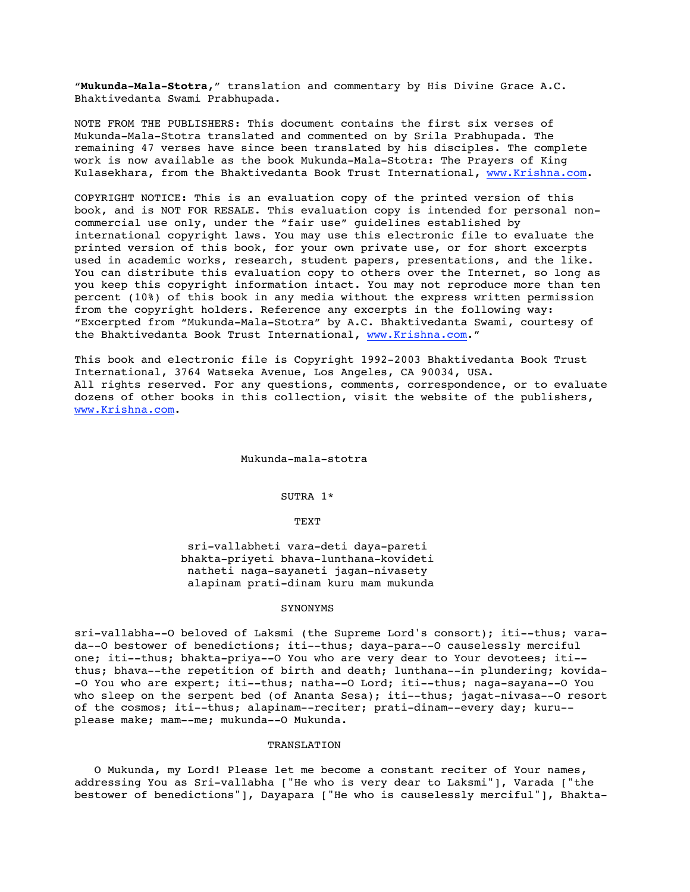"**Mukunda-Mala-Stotra,**" translation and commentary by His Divine Grace A.C. Bhaktivedanta Swami Prabhupada.

NOTE FROM THE PUBLISHERS: This document contains the first six verses of Mukunda-Mala-Stotra translated and commented on by Srila Prabhupada. The remaining 47 verses have since been translated by his disciples. The complete work is now available as the book Mukunda-Mala-Stotra: The Prayers of King Kulasekhara, from the Bhaktivedanta Book Trust International, www.Krishna.com.

COPYRIGHT NOTICE: This is an evaluation copy of the printed version of this book, and is NOT FOR RESALE. This evaluation copy is intended for personal noncommercial use only, under the "fair use" guidelines established by international copyright laws. You may use this electronic file to evaluate the printed version of this book, for your own private use, or for short excerpts used in academic works, research, student papers, presentations, and the like. You can distribute this evaluation copy to others over the Internet, so long as you keep this copyright information intact. You may not reproduce more than ten percent (10%) of this book in any media without the express written permission from the copyright holders. Reference any excerpts in the following way: "Excerpted from "Mukunda-Mala-Stotra" by A.C. Bhaktivedanta Swami, courtesy of the Bhaktivedanta Book Trust International, www.Krishna.com."

This book and electronic file is Copyright 1992-2003 Bhaktivedanta Book Trust International, 3764 Watseka Avenue, Los Angeles, CA 90034, USA. All rights reserved. For any questions, comments, correspondence, or to evaluate dozens of other books in this collection, visit the website of the publishers, www.Krishna.com.

#### Mukunda-mala-stotra

# SUTRA 1\*

# TEXT

 sri-vallabheti vara-deti daya-pareti bhakta-priyeti bhava-lunthana-kovideti natheti naga-sayaneti jagan-nivasety alapinam prati-dinam kuru mam mukunda

#### SYNONYMS

sri-vallabha--O beloved of Laksmi (the Supreme Lord's consort); iti--thus; varada--O bestower of benedictions; iti--thus; daya-para--O causelessly merciful one; iti--thus; bhakta-priya--O You who are very dear to Your devotees; iti- thus; bhava--the repetition of birth and death; lunthana--in plundering; kovida- -O You who are expert; iti--thus; natha--O Lord; iti--thus; naga-sayana--O You who sleep on the serpent bed (of Ananta Sesa); iti--thus; jagat-nivasa--O resort of the cosmos; iti--thus; alapinam--reciter; prati-dinam--every day; kuru- please make; mam--me; mukunda--O Mukunda.

# TRANSLATION

 O Mukunda, my Lord! Please let me become a constant reciter of Your names, addressing You as Sri-vallabha ["He who is very dear to Laksmi"], Varada ["the bestower of benedictions"], Dayapara ["He who is causelessly merciful"], Bhakta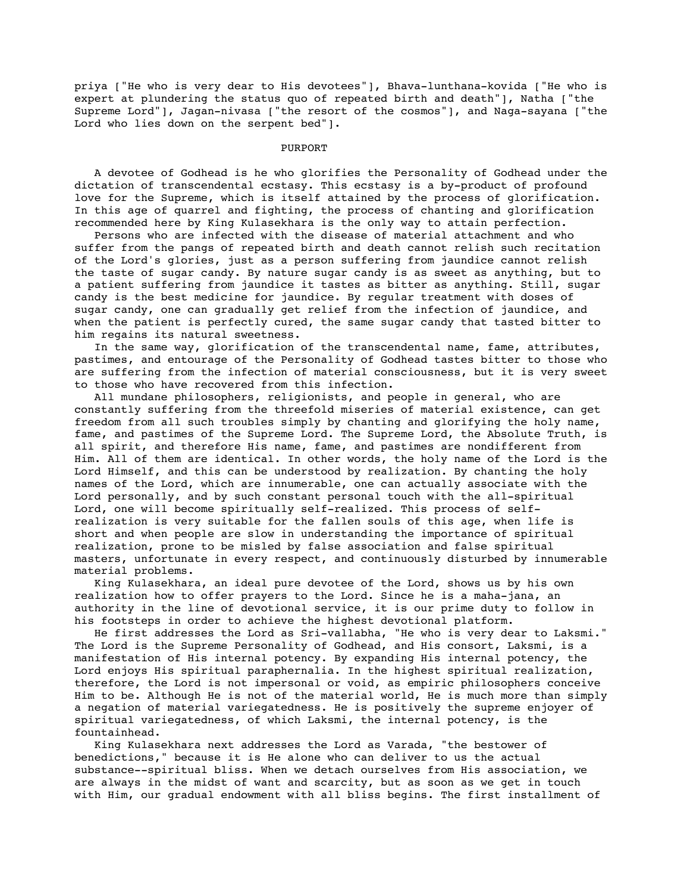priya ["He who is very dear to His devotees"], Bhava-lunthana-kovida ["He who is expert at plundering the status quo of repeated birth and death"], Natha ["the Supreme Lord"], Jagan-nivasa ["the resort of the cosmos"], and Naga-sayana ["the Lord who lies down on the serpent bed"].

## PURPORT

 A devotee of Godhead is he who glorifies the Personality of Godhead under the dictation of transcendental ecstasy. This ecstasy is a by-product of profound love for the Supreme, which is itself attained by the process of glorification. In this age of quarrel and fighting, the process of chanting and glorification recommended here by King Kulasekhara is the only way to attain perfection.

 Persons who are infected with the disease of material attachment and who suffer from the pangs of repeated birth and death cannot relish such recitation of the Lord's glories, just as a person suffering from jaundice cannot relish the taste of sugar candy. By nature sugar candy is as sweet as anything, but to a patient suffering from jaundice it tastes as bitter as anything. Still, sugar candy is the best medicine for jaundice. By regular treatment with doses of sugar candy, one can gradually get relief from the infection of jaundice, and when the patient is perfectly cured, the same sugar candy that tasted bitter to him regains its natural sweetness.

 In the same way, glorification of the transcendental name, fame, attributes, pastimes, and entourage of the Personality of Godhead tastes bitter to those who are suffering from the infection of material consciousness, but it is very sweet to those who have recovered from this infection.

 All mundane philosophers, religionists, and people in general, who are constantly suffering from the threefold miseries of material existence, can get freedom from all such troubles simply by chanting and glorifying the holy name, fame, and pastimes of the Supreme Lord. The Supreme Lord, the Absolute Truth, is all spirit, and therefore His name, fame, and pastimes are nondifferent from Him. All of them are identical. In other words, the holy name of the Lord is the Lord Himself, and this can be understood by realization. By chanting the holy names of the Lord, which are innumerable, one can actually associate with the Lord personally, and by such constant personal touch with the all-spiritual Lord, one will become spiritually self-realized. This process of selfrealization is very suitable for the fallen souls of this age, when life is short and when people are slow in understanding the importance of spiritual realization, prone to be misled by false association and false spiritual masters, unfortunate in every respect, and continuously disturbed by innumerable material problems.

 King Kulasekhara, an ideal pure devotee of the Lord, shows us by his own realization how to offer prayers to the Lord. Since he is a maha-jana, an authority in the line of devotional service, it is our prime duty to follow in his footsteps in order to achieve the highest devotional platform.

 He first addresses the Lord as Sri-vallabha, "He who is very dear to Laksmi." The Lord is the Supreme Personality of Godhead, and His consort, Laksmi, is a manifestation of His internal potency. By expanding His internal potency, the Lord enjoys His spiritual paraphernalia. In the highest spiritual realization, therefore, the Lord is not impersonal or void, as empiric philosophers conceive Him to be. Although He is not of the material world, He is much more than simply a negation of material variegatedness. He is positively the supreme enjoyer of spiritual variegatedness, of which Laksmi, the internal potency, is the fountainhead.

 King Kulasekhara next addresses the Lord as Varada, "the bestower of benedictions," because it is He alone who can deliver to us the actual substance--spiritual bliss. When we detach ourselves from His association, we are always in the midst of want and scarcity, but as soon as we get in touch with Him, our gradual endowment with all bliss begins. The first installment of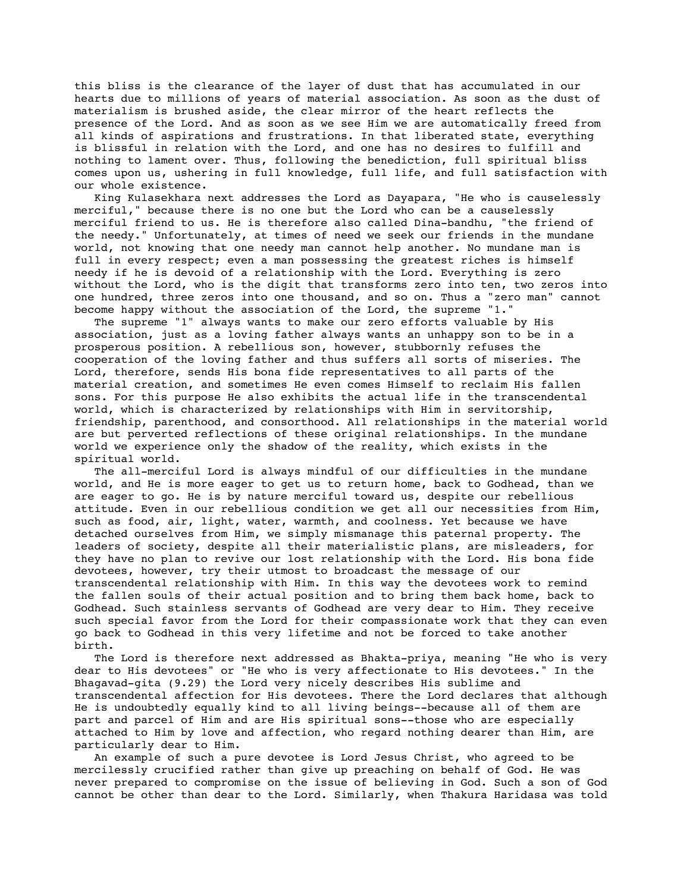this bliss is the clearance of the layer of dust that has accumulated in our hearts due to millions of years of material association. As soon as the dust of materialism is brushed aside, the clear mirror of the heart reflects the presence of the Lord. And as soon as we see Him we are automatically freed from all kinds of aspirations and frustrations. In that liberated state, everything is blissful in relation with the Lord, and one has no desires to fulfill and nothing to lament over. Thus, following the benediction, full spiritual bliss comes upon us, ushering in full knowledge, full life, and full satisfaction with our whole existence.

 King Kulasekhara next addresses the Lord as Dayapara, "He who is causelessly merciful," because there is no one but the Lord who can be a causelessly merciful friend to us. He is therefore also called Dina-bandhu, "the friend of the needy." Unfortunately, at times of need we seek our friends in the mundane world, not knowing that one needy man cannot help another. No mundane man is full in every respect; even a man possessing the greatest riches is himself needy if he is devoid of a relationship with the Lord. Everything is zero without the Lord, who is the digit that transforms zero into ten, two zeros into one hundred, three zeros into one thousand, and so on. Thus a "zero man" cannot become happy without the association of the Lord, the supreme "1."

 The supreme "1" always wants to make our zero efforts valuable by His association, just as a loving father always wants an unhappy son to be in a prosperous position. A rebellious son, however, stubbornly refuses the cooperation of the loving father and thus suffers all sorts of miseries. The Lord, therefore, sends His bona fide representatives to all parts of the material creation, and sometimes He even comes Himself to reclaim His fallen sons. For this purpose He also exhibits the actual life in the transcendental world, which is characterized by relationships with Him in servitorship, friendship, parenthood, and consorthood. All relationships in the material world are but perverted reflections of these original relationships. In the mundane world we experience only the shadow of the reality, which exists in the spiritual world.

 The all-merciful Lord is always mindful of our difficulties in the mundane world, and He is more eager to get us to return home, back to Godhead, than we are eager to go. He is by nature merciful toward us, despite our rebellious attitude. Even in our rebellious condition we get all our necessities from Him, such as food, air, light, water, warmth, and coolness. Yet because we have detached ourselves from Him, we simply mismanage this paternal property. The leaders of society, despite all their materialistic plans, are misleaders, for they have no plan to revive our lost relationship with the Lord. His bona fide devotees, however, try their utmost to broadcast the message of our transcendental relationship with Him. In this way the devotees work to remind the fallen souls of their actual position and to bring them back home, back to Godhead. Such stainless servants of Godhead are very dear to Him. They receive such special favor from the Lord for their compassionate work that they can even go back to Godhead in this very lifetime and not be forced to take another birth.

 The Lord is therefore next addressed as Bhakta-priya, meaning "He who is very dear to His devotees" or "He who is very affectionate to His devotees." In the Bhagavad-gita (9.29) the Lord very nicely describes His sublime and transcendental affection for His devotees. There the Lord declares that although He is undoubtedly equally kind to all living beings--because all of them are part and parcel of Him and are His spiritual sons--those who are especially attached to Him by love and affection, who regard nothing dearer than Him, are particularly dear to Him.

 An example of such a pure devotee is Lord Jesus Christ, who agreed to be mercilessly crucified rather than give up preaching on behalf of God. He was never prepared to compromise on the issue of believing in God. Such a son of God cannot be other than dear to the Lord. Similarly, when Thakura Haridasa was told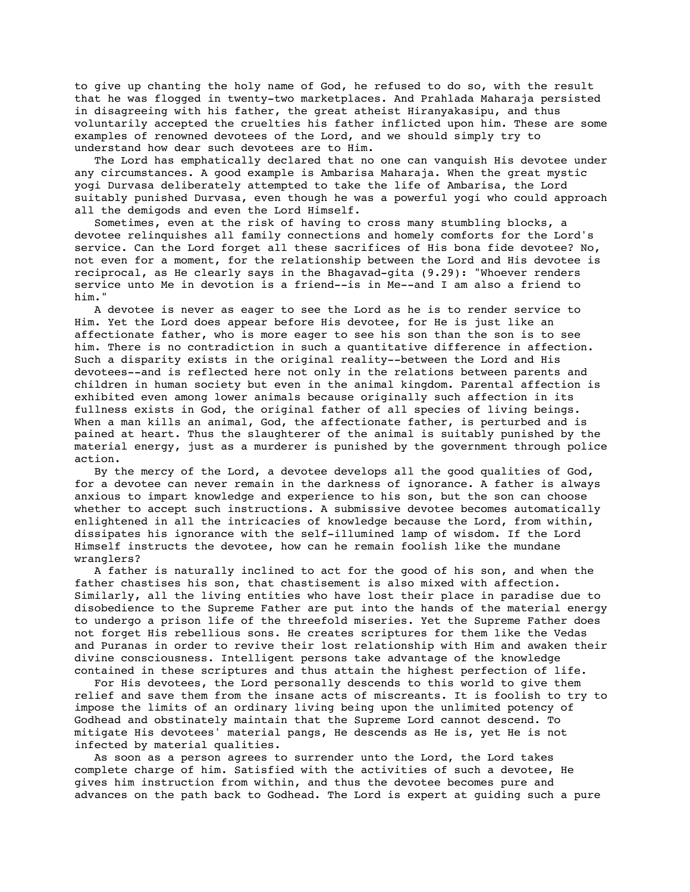to give up chanting the holy name of God, he refused to do so, with the result that he was flogged in twenty-two marketplaces. And Prahlada Maharaja persisted in disagreeing with his father, the great atheist Hiranyakasipu, and thus voluntarily accepted the cruelties his father inflicted upon him. These are some examples of renowned devotees of the Lord, and we should simply try to understand how dear such devotees are to Him.

 The Lord has emphatically declared that no one can vanquish His devotee under any circumstances. A good example is Ambarisa Maharaja. When the great mystic yogi Durvasa deliberately attempted to take the life of Ambarisa, the Lord suitably punished Durvasa, even though he was a powerful yogi who could approach all the demigods and even the Lord Himself.

 Sometimes, even at the risk of having to cross many stumbling blocks, a devotee relinquishes all family connections and homely comforts for the Lord's service. Can the Lord forget all these sacrifices of His bona fide devotee? No, not even for a moment, for the relationship between the Lord and His devotee is reciprocal, as He clearly says in the Bhagavad-gita (9.29): "Whoever renders service unto Me in devotion is a friend--is in Me--and I am also a friend to him."

 A devotee is never as eager to see the Lord as he is to render service to Him. Yet the Lord does appear before His devotee, for He is just like an affectionate father, who is more eager to see his son than the son is to see him. There is no contradiction in such a quantitative difference in affection. Such a disparity exists in the original reality--between the Lord and His devotees--and is reflected here not only in the relations between parents and children in human society but even in the animal kingdom. Parental affection is exhibited even among lower animals because originally such affection in its fullness exists in God, the original father of all species of living beings. When a man kills an animal, God, the affectionate father, is perturbed and is pained at heart. Thus the slaughterer of the animal is suitably punished by the material energy, just as a murderer is punished by the government through police action.

 By the mercy of the Lord, a devotee develops all the good qualities of God, for a devotee can never remain in the darkness of ignorance. A father is always anxious to impart knowledge and experience to his son, but the son can choose whether to accept such instructions. A submissive devotee becomes automatically enlightened in all the intricacies of knowledge because the Lord, from within, dissipates his ignorance with the self-illumined lamp of wisdom. If the Lord Himself instructs the devotee, how can he remain foolish like the mundane wranglers?

 A father is naturally inclined to act for the good of his son, and when the father chastises his son, that chastisement is also mixed with affection. Similarly, all the living entities who have lost their place in paradise due to disobedience to the Supreme Father are put into the hands of the material energy to undergo a prison life of the threefold miseries. Yet the Supreme Father does not forget His rebellious sons. He creates scriptures for them like the Vedas and Puranas in order to revive their lost relationship with Him and awaken their divine consciousness. Intelligent persons take advantage of the knowledge contained in these scriptures and thus attain the highest perfection of life.

 For His devotees, the Lord personally descends to this world to give them relief and save them from the insane acts of miscreants. It is foolish to try to impose the limits of an ordinary living being upon the unlimited potency of Godhead and obstinately maintain that the Supreme Lord cannot descend. To mitigate His devotees' material pangs, He descends as He is, yet He is not infected by material qualities.

 As soon as a person agrees to surrender unto the Lord, the Lord takes complete charge of him. Satisfied with the activities of such a devotee, He gives him instruction from within, and thus the devotee becomes pure and advances on the path back to Godhead. The Lord is expert at guiding such a pure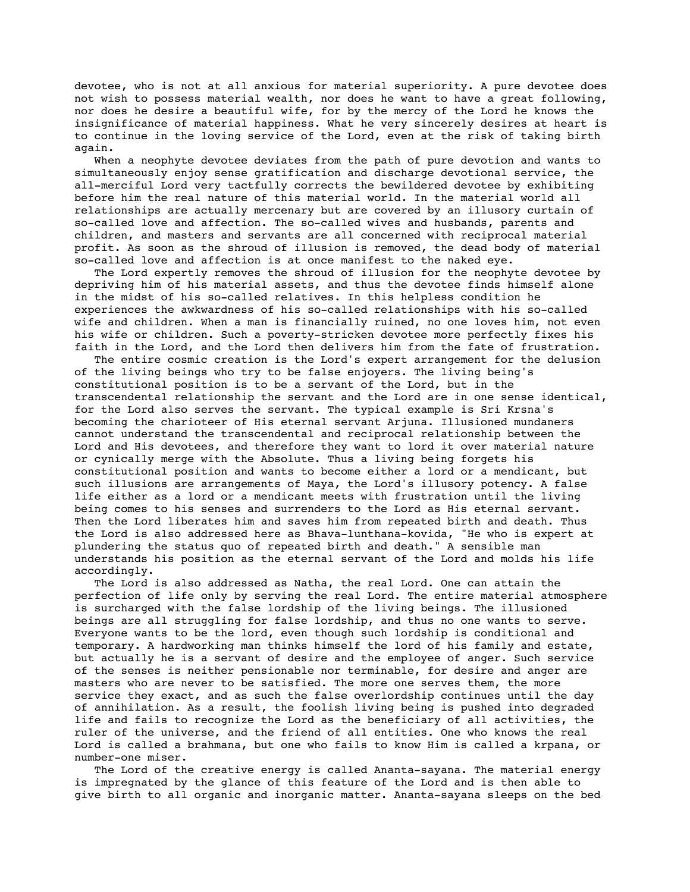devotee, who is not at all anxious for material superiority. A pure devotee does not wish to possess material wealth, nor does he want to have a great following, nor does he desire a beautiful wife, for by the mercy of the Lord he knows the insignificance of material happiness. What he very sincerely desires at heart is to continue in the loving service of the Lord, even at the risk of taking birth again.

 When a neophyte devotee deviates from the path of pure devotion and wants to simultaneously enjoy sense gratification and discharge devotional service, the all-merciful Lord very tactfully corrects the bewildered devotee by exhibiting before him the real nature of this material world. In the material world all relationships are actually mercenary but are covered by an illusory curtain of so-called love and affection. The so-called wives and husbands, parents and children, and masters and servants are all concerned with reciprocal material profit. As soon as the shroud of illusion is removed, the dead body of material so-called love and affection is at once manifest to the naked eye.

 The Lord expertly removes the shroud of illusion for the neophyte devotee by depriving him of his material assets, and thus the devotee finds himself alone in the midst of his so-called relatives. In this helpless condition he experiences the awkwardness of his so-called relationships with his so-called wife and children. When a man is financially ruined, no one loves him, not even his wife or children. Such a poverty-stricken devotee more perfectly fixes his faith in the Lord, and the Lord then delivers him from the fate of frustration.

 The entire cosmic creation is the Lord's expert arrangement for the delusion of the living beings who try to be false enjoyers. The living being's constitutional position is to be a servant of the Lord, but in the transcendental relationship the servant and the Lord are in one sense identical, for the Lord also serves the servant. The typical example is Sri Krsna's becoming the charioteer of His eternal servant Arjuna. Illusioned mundaners cannot understand the transcendental and reciprocal relationship between the Lord and His devotees, and therefore they want to lord it over material nature or cynically merge with the Absolute. Thus a living being forgets his constitutional position and wants to become either a lord or a mendicant, but such illusions are arrangements of Maya, the Lord's illusory potency. A false life either as a lord or a mendicant meets with frustration until the living being comes to his senses and surrenders to the Lord as His eternal servant. Then the Lord liberates him and saves him from repeated birth and death. Thus the Lord is also addressed here as Bhava-lunthana-kovida, "He who is expert at plundering the status quo of repeated birth and death." A sensible man understands his position as the eternal servant of the Lord and molds his life accordingly.

 The Lord is also addressed as Natha, the real Lord. One can attain the perfection of life only by serving the real Lord. The entire material atmosphere is surcharged with the false lordship of the living beings. The illusioned beings are all struggling for false lordship, and thus no one wants to serve. Everyone wants to be the lord, even though such lordship is conditional and temporary. A hardworking man thinks himself the lord of his family and estate, but actually he is a servant of desire and the employee of anger. Such service of the senses is neither pensionable nor terminable, for desire and anger are masters who are never to be satisfied. The more one serves them, the more service they exact, and as such the false overlordship continues until the day of annihilation. As a result, the foolish living being is pushed into degraded life and fails to recognize the Lord as the beneficiary of all activities, the ruler of the universe, and the friend of all entities. One who knows the real Lord is called a brahmana, but one who fails to know Him is called a krpana, or number-one miser.

 The Lord of the creative energy is called Ananta-sayana. The material energy is impregnated by the glance of this feature of the Lord and is then able to give birth to all organic and inorganic matter. Ananta-sayana sleeps on the bed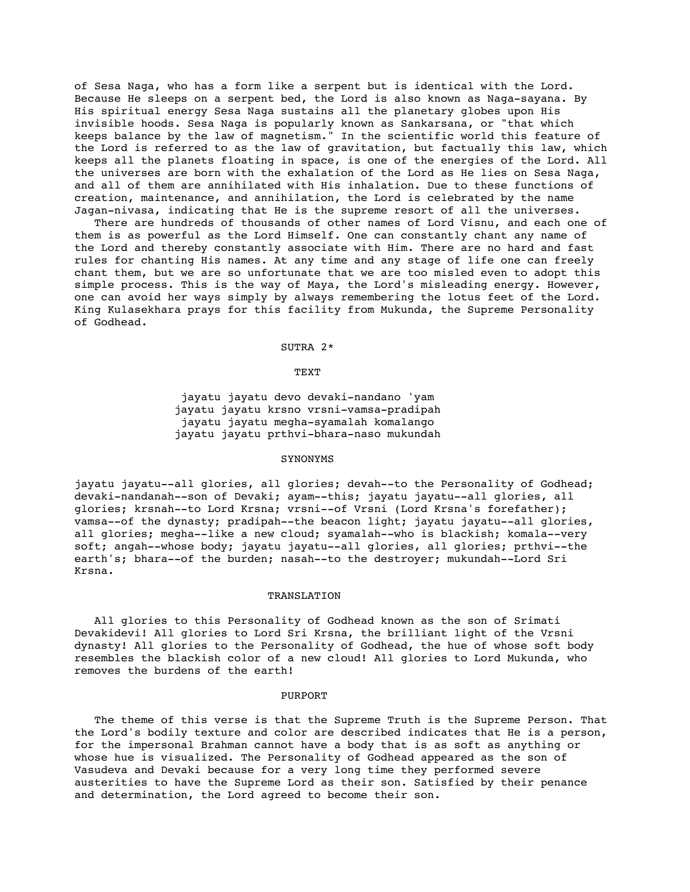of Sesa Naga, who has a form like a serpent but is identical with the Lord. Because He sleeps on a serpent bed, the Lord is also known as Naga-sayana. By His spiritual energy Sesa Naga sustains all the planetary globes upon His invisible hoods. Sesa Naga is popularly known as Sankarsana, or "that which keeps balance by the law of magnetism." In the scientific world this feature of the Lord is referred to as the law of gravitation, but factually this law, which keeps all the planets floating in space, is one of the energies of the Lord. All the universes are born with the exhalation of the Lord as He lies on Sesa Naga, and all of them are annihilated with His inhalation. Due to these functions of creation, maintenance, and annihilation, the Lord is celebrated by the name Jagan-nivasa, indicating that He is the supreme resort of all the universes.

 There are hundreds of thousands of other names of Lord Visnu, and each one of them is as powerful as the Lord Himself. One can constantly chant any name of the Lord and thereby constantly associate with Him. There are no hard and fast rules for chanting His names. At any time and any stage of life one can freely chant them, but we are so unfortunate that we are too misled even to adopt this simple process. This is the way of Maya, the Lord's misleading energy. However, one can avoid her ways simply by always remembering the lotus feet of the Lord. King Kulasekhara prays for this facility from Mukunda, the Supreme Personality of Godhead.

### SUTRA 2\*

# TEXT

 jayatu jayatu devo devaki-nandano 'yam jayatu jayatu krsno vrsni-vamsa-pradipah jayatu jayatu megha-syamalah komalango jayatu jayatu prthvi-bhara-naso mukundah

### SYNONYMS

jayatu jayatu--all glories, all glories; devah--to the Personality of Godhead; devaki-nandanah--son of Devaki; ayam--this; jayatu jayatu--all glories, all glories; krsnah--to Lord Krsna; vrsni--of Vrsni (Lord Krsna's forefather); vamsa--of the dynasty; pradipah--the beacon light; jayatu jayatu--all glories, all glories; megha--like a new cloud; syamalah--who is blackish; komala--very soft; angah--whose body; jayatu jayatu--all glories, all glories; prthvi--the earth's; bhara--of the burden; nasah--to the destroyer; mukundah--Lord Sri Krsna.

# TRANSLATION

 All glories to this Personality of Godhead known as the son of Srimati Devakidevi! All glories to Lord Sri Krsna, the brilliant light of the Vrsni dynasty! All glories to the Personality of Godhead, the hue of whose soft body resembles the blackish color of a new cloud! All glories to Lord Mukunda, who removes the burdens of the earth!

### PURPORT

 The theme of this verse is that the Supreme Truth is the Supreme Person. That the Lord's bodily texture and color are described indicates that He is a person, for the impersonal Brahman cannot have a body that is as soft as anything or whose hue is visualized. The Personality of Godhead appeared as the son of Vasudeva and Devaki because for a very long time they performed severe austerities to have the Supreme Lord as their son. Satisfied by their penance and determination, the Lord agreed to become their son.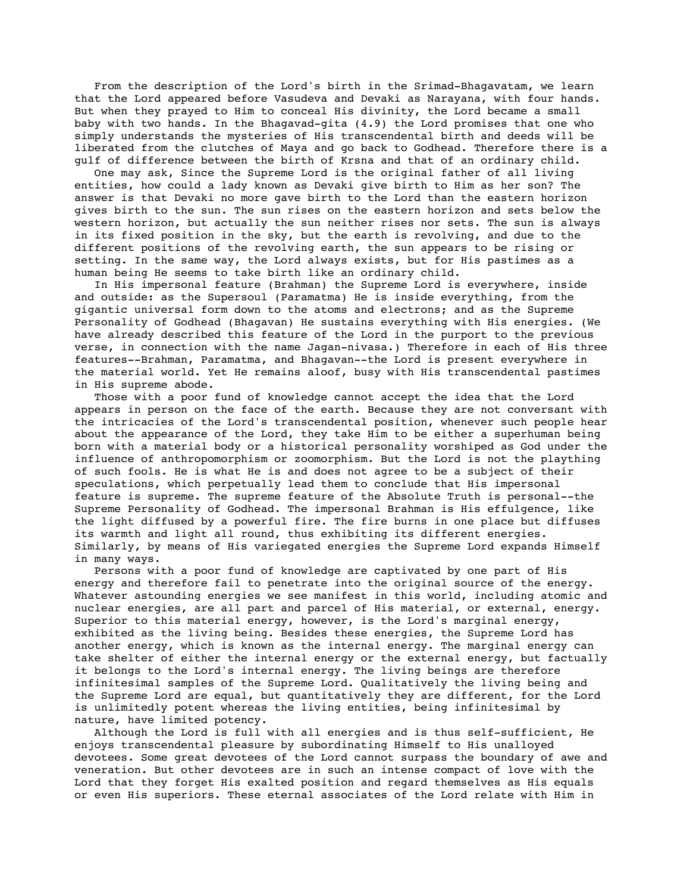From the description of the Lord's birth in the Srimad-Bhagavatam, we learn that the Lord appeared before Vasudeva and Devaki as Narayana, with four hands. But when they prayed to Him to conceal His divinity, the Lord became a small baby with two hands. In the Bhagavad-gita (4.9) the Lord promises that one who simply understands the mysteries of His transcendental birth and deeds will be liberated from the clutches of Maya and go back to Godhead. Therefore there is a gulf of difference between the birth of Krsna and that of an ordinary child.

 One may ask, Since the Supreme Lord is the original father of all living entities, how could a lady known as Devaki give birth to Him as her son? The answer is that Devaki no more gave birth to the Lord than the eastern horizon gives birth to the sun. The sun rises on the eastern horizon and sets below the western horizon, but actually the sun neither rises nor sets. The sun is always in its fixed position in the sky, but the earth is revolving, and due to the different positions of the revolving earth, the sun appears to be rising or setting. In the same way, the Lord always exists, but for His pastimes as a human being He seems to take birth like an ordinary child.

 In His impersonal feature (Brahman) the Supreme Lord is everywhere, inside and outside: as the Supersoul (Paramatma) He is inside everything, from the gigantic universal form down to the atoms and electrons; and as the Supreme Personality of Godhead (Bhagavan) He sustains everything with His energies. (We have already described this feature of the Lord in the purport to the previous verse, in connection with the name Jagan-nivasa.) Therefore in each of His three features--Brahman, Paramatma, and Bhagavan--the Lord is present everywhere in the material world. Yet He remains aloof, busy with His transcendental pastimes in His supreme abode.

 Those with a poor fund of knowledge cannot accept the idea that the Lord appears in person on the face of the earth. Because they are not conversant with the intricacies of the Lord's transcendental position, whenever such people hear about the appearance of the Lord, they take Him to be either a superhuman being born with a material body or a historical personality worshiped as God under the influence of anthropomorphism or zoomorphism. But the Lord is not the plaything of such fools. He is what He is and does not agree to be a subject of their speculations, which perpetually lead them to conclude that His impersonal feature is supreme. The supreme feature of the Absolute Truth is personal--the Supreme Personality of Godhead. The impersonal Brahman is His effulgence, like the light diffused by a powerful fire. The fire burns in one place but diffuses its warmth and light all round, thus exhibiting its different energies. Similarly, by means of His variegated energies the Supreme Lord expands Himself in many ways.

 Persons with a poor fund of knowledge are captivated by one part of His energy and therefore fail to penetrate into the original source of the energy. Whatever astounding energies we see manifest in this world, including atomic and nuclear energies, are all part and parcel of His material, or external, energy. Superior to this material energy, however, is the Lord's marginal energy, exhibited as the living being. Besides these energies, the Supreme Lord has another energy, which is known as the internal energy. The marginal energy can take shelter of either the internal energy or the external energy, but factually it belongs to the Lord's internal energy. The living beings are therefore infinitesimal samples of the Supreme Lord. Qualitatively the living being and the Supreme Lord are equal, but quantitatively they are different, for the Lord is unlimitedly potent whereas the living entities, being infinitesimal by nature, have limited potency.

 Although the Lord is full with all energies and is thus self-sufficient, He enjoys transcendental pleasure by subordinating Himself to His unalloyed devotees. Some great devotees of the Lord cannot surpass the boundary of awe and veneration. But other devotees are in such an intense compact of love with the Lord that they forget His exalted position and regard themselves as His equals or even His superiors. These eternal associates of the Lord relate with Him in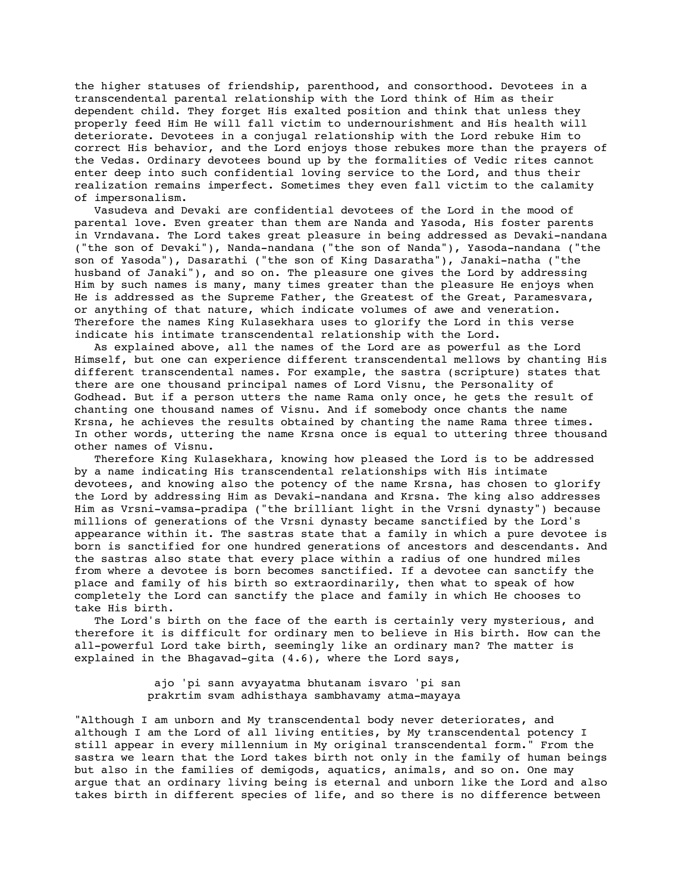the higher statuses of friendship, parenthood, and consorthood. Devotees in a transcendental parental relationship with the Lord think of Him as their dependent child. They forget His exalted position and think that unless they properly feed Him He will fall victim to undernourishment and His health will deteriorate. Devotees in a conjugal relationship with the Lord rebuke Him to correct His behavior, and the Lord enjoys those rebukes more than the prayers of the Vedas. Ordinary devotees bound up by the formalities of Vedic rites cannot enter deep into such confidential loving service to the Lord, and thus their realization remains imperfect. Sometimes they even fall victim to the calamity of impersonalism.

 Vasudeva and Devaki are confidential devotees of the Lord in the mood of parental love. Even greater than them are Nanda and Yasoda, His foster parents in Vrndavana. The Lord takes great pleasure in being addressed as Devaki-nandana ("the son of Devaki"), Nanda-nandana ("the son of Nanda"), Yasoda-nandana ("the son of Yasoda"), Dasarathi ("the son of King Dasaratha"), Janaki-natha ("the husband of Janaki"), and so on. The pleasure one gives the Lord by addressing Him by such names is many, many times greater than the pleasure He enjoys when He is addressed as the Supreme Father, the Greatest of the Great, Paramesvara, or anything of that nature, which indicate volumes of awe and veneration. Therefore the names King Kulasekhara uses to glorify the Lord in this verse indicate his intimate transcendental relationship with the Lord.

 As explained above, all the names of the Lord are as powerful as the Lord Himself, but one can experience different transcendental mellows by chanting His different transcendental names. For example, the sastra (scripture) states that there are one thousand principal names of Lord Visnu, the Personality of Godhead. But if a person utters the name Rama only once, he gets the result of chanting one thousand names of Visnu. And if somebody once chants the name Krsna, he achieves the results obtained by chanting the name Rama three times. In other words, uttering the name Krsna once is equal to uttering three thousand other names of Visnu.

 Therefore King Kulasekhara, knowing how pleased the Lord is to be addressed by a name indicating His transcendental relationships with His intimate devotees, and knowing also the potency of the name Krsna, has chosen to glorify the Lord by addressing Him as Devaki-nandana and Krsna. The king also addresses Him as Vrsni-vamsa-pradipa ("the brilliant light in the Vrsni dynasty") because millions of generations of the Vrsni dynasty became sanctified by the Lord's appearance within it. The sastras state that a family in which a pure devotee is born is sanctified for one hundred generations of ancestors and descendants. And the sastras also state that every place within a radius of one hundred miles from where a devotee is born becomes sanctified. If a devotee can sanctify the place and family of his birth so extraordinarily, then what to speak of how completely the Lord can sanctify the place and family in which He chooses to take His birth.

 The Lord's birth on the face of the earth is certainly very mysterious, and therefore it is difficult for ordinary men to believe in His birth. How can the all-powerful Lord take birth, seemingly like an ordinary man? The matter is explained in the Bhagavad-gita (4.6), where the Lord says,

> ajo 'pi sann avyayatma bhutanam isvaro 'pi san prakrtim svam adhisthaya sambhavamy atma-mayaya

"Although I am unborn and My transcendental body never deteriorates, and although I am the Lord of all living entities, by My transcendental potency I still appear in every millennium in My original transcendental form." From the sastra we learn that the Lord takes birth not only in the family of human beings but also in the families of demigods, aquatics, animals, and so on. One may argue that an ordinary living being is eternal and unborn like the Lord and also takes birth in different species of life, and so there is no difference between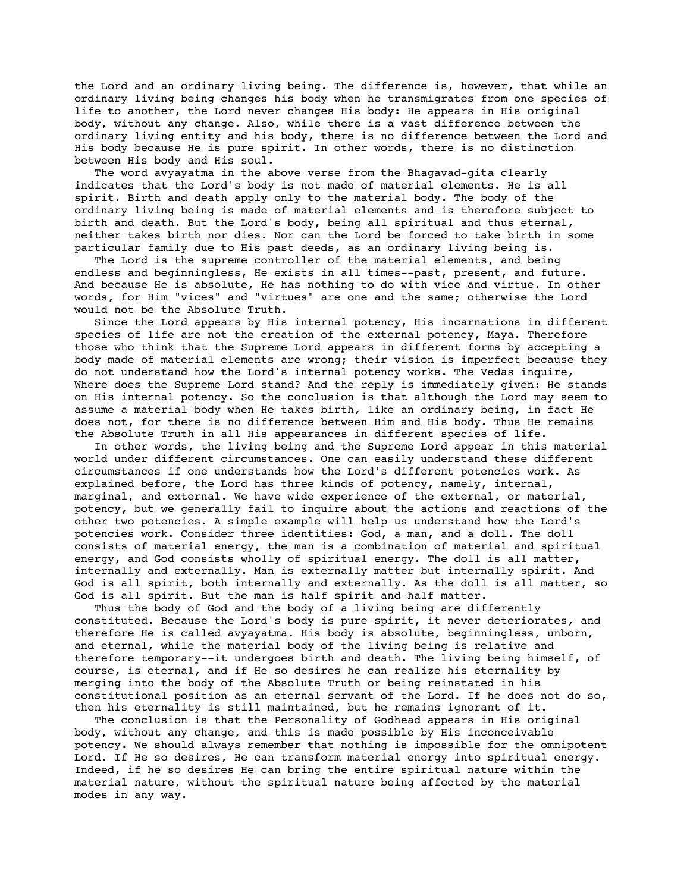the Lord and an ordinary living being. The difference is, however, that while an ordinary living being changes his body when he transmigrates from one species of life to another, the Lord never changes His body: He appears in His original body, without any change. Also, while there is a vast difference between the ordinary living entity and his body, there is no difference between the Lord and His body because He is pure spirit. In other words, there is no distinction between His body and His soul.

 The word avyayatma in the above verse from the Bhagavad-gita clearly indicates that the Lord's body is not made of material elements. He is all spirit. Birth and death apply only to the material body. The body of the ordinary living being is made of material elements and is therefore subject to birth and death. But the Lord's body, being all spiritual and thus eternal, neither takes birth nor dies. Nor can the Lord be forced to take birth in some particular family due to His past deeds, as an ordinary living being is.

 The Lord is the supreme controller of the material elements, and being endless and beginningless, He exists in all times--past, present, and future. And because He is absolute, He has nothing to do with vice and virtue. In other words, for Him "vices" and "virtues" are one and the same; otherwise the Lord would not be the Absolute Truth.

 Since the Lord appears by His internal potency, His incarnations in different species of life are not the creation of the external potency, Maya. Therefore those who think that the Supreme Lord appears in different forms by accepting a body made of material elements are wrong; their vision is imperfect because they do not understand how the Lord's internal potency works. The Vedas inquire, Where does the Supreme Lord stand? And the reply is immediately given: He stands on His internal potency. So the conclusion is that although the Lord may seem to assume a material body when He takes birth, like an ordinary being, in fact He does not, for there is no difference between Him and His body. Thus He remains the Absolute Truth in all His appearances in different species of life.

 In other words, the living being and the Supreme Lord appear in this material world under different circumstances. One can easily understand these different circumstances if one understands how the Lord's different potencies work. As explained before, the Lord has three kinds of potency, namely, internal, marginal, and external. We have wide experience of the external, or material, potency, but we generally fail to inquire about the actions and reactions of the other two potencies. A simple example will help us understand how the Lord's potencies work. Consider three identities: God, a man, and a doll. The doll consists of material energy, the man is a combination of material and spiritual energy, and God consists wholly of spiritual energy. The doll is all matter, internally and externally. Man is externally matter but internally spirit. And God is all spirit, both internally and externally. As the doll is all matter, so God is all spirit. But the man is half spirit and half matter.

 Thus the body of God and the body of a living being are differently constituted. Because the Lord's body is pure spirit, it never deteriorates, and therefore He is called avyayatma. His body is absolute, beginningless, unborn, and eternal, while the material body of the living being is relative and therefore temporary--it undergoes birth and death. The living being himself, of course, is eternal, and if He so desires he can realize his eternality by merging into the body of the Absolute Truth or being reinstated in his constitutional position as an eternal servant of the Lord. If he does not do so, then his eternality is still maintained, but he remains ignorant of it.

 The conclusion is that the Personality of Godhead appears in His original body, without any change, and this is made possible by His inconceivable potency. We should always remember that nothing is impossible for the omnipotent Lord. If He so desires, He can transform material energy into spiritual energy. Indeed, if he so desires He can bring the entire spiritual nature within the material nature, without the spiritual nature being affected by the material modes in any way.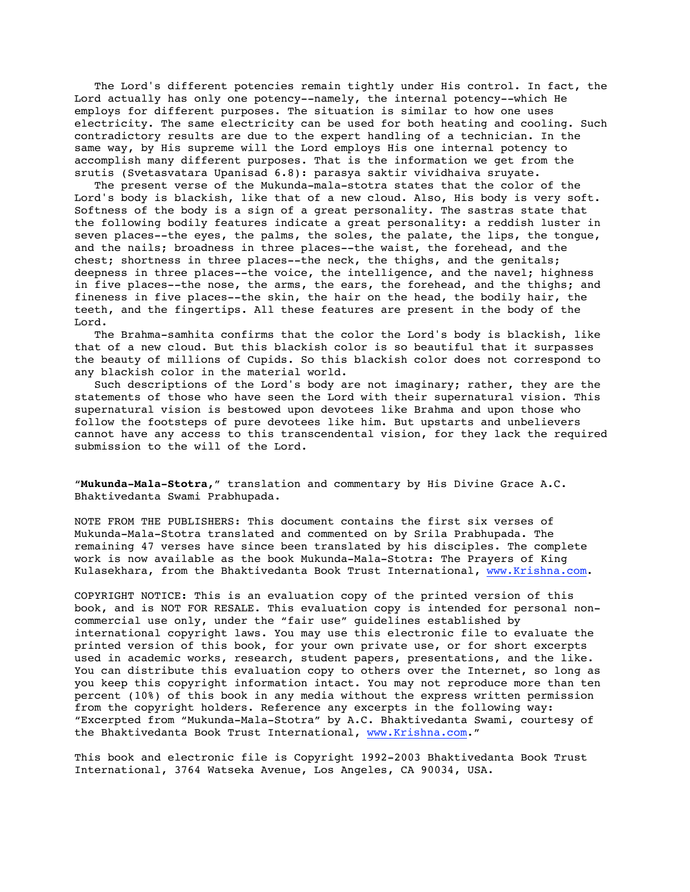The Lord's different potencies remain tightly under His control. In fact, the Lord actually has only one potency--namely, the internal potency--which He employs for different purposes. The situation is similar to how one uses electricity. The same electricity can be used for both heating and cooling. Such contradictory results are due to the expert handling of a technician. In the same way, by His supreme will the Lord employs His one internal potency to accomplish many different purposes. That is the information we get from the srutis (Svetasvatara Upanisad 6.8): parasya saktir vividhaiva sruyate.

 The present verse of the Mukunda-mala-stotra states that the color of the Lord's body is blackish, like that of a new cloud. Also, His body is very soft. Softness of the body is a sign of a great personality. The sastras state that the following bodily features indicate a great personality: a reddish luster in seven places--the eyes, the palms, the soles, the palate, the lips, the tongue, and the nails; broadness in three places--the waist, the forehead, and the chest; shortness in three places--the neck, the thighs, and the genitals; deepness in three places--the voice, the intelligence, and the navel; highness in five places--the nose, the arms, the ears, the forehead, and the thighs; and fineness in five places--the skin, the hair on the head, the bodily hair, the teeth, and the fingertips. All these features are present in the body of the Lord.

 The Brahma-samhita confirms that the color the Lord's body is blackish, like that of a new cloud. But this blackish color is so beautiful that it surpasses the beauty of millions of Cupids. So this blackish color does not correspond to any blackish color in the material world.

 Such descriptions of the Lord's body are not imaginary; rather, they are the statements of those who have seen the Lord with their supernatural vision. This supernatural vision is bestowed upon devotees like Brahma and upon those who follow the footsteps of pure devotees like him. But upstarts and unbelievers cannot have any access to this transcendental vision, for they lack the required submission to the will of the Lord.

"**Mukunda-Mala-Stotra,**" translation and commentary by His Divine Grace A.C. Bhaktivedanta Swami Prabhupada.

NOTE FROM THE PUBLISHERS: This document contains the first six verses of Mukunda-Mala-Stotra translated and commented on by Srila Prabhupada. The remaining 47 verses have since been translated by his disciples. The complete work is now available as the book Mukunda-Mala-Stotra: The Prayers of King Kulasekhara, from the Bhaktivedanta Book Trust International, www.Krishna.com.

COPYRIGHT NOTICE: This is an evaluation copy of the printed version of this book, and is NOT FOR RESALE. This evaluation copy is intended for personal noncommercial use only, under the "fair use" guidelines established by international copyright laws. You may use this electronic file to evaluate the printed version of this book, for your own private use, or for short excerpts used in academic works, research, student papers, presentations, and the like. You can distribute this evaluation copy to others over the Internet, so long as you keep this copyright information intact. You may not reproduce more than ten percent (10%) of this book in any media without the express written permission from the copyright holders. Reference any excerpts in the following way: "Excerpted from "Mukunda-Mala-Stotra" by A.C. Bhaktivedanta Swami, courtesy of the Bhaktivedanta Book Trust International, www.Krishna.com."

This book and electronic file is Copyright 1992-2003 Bhaktivedanta Book Trust International, 3764 Watseka Avenue, Los Angeles, CA 90034, USA.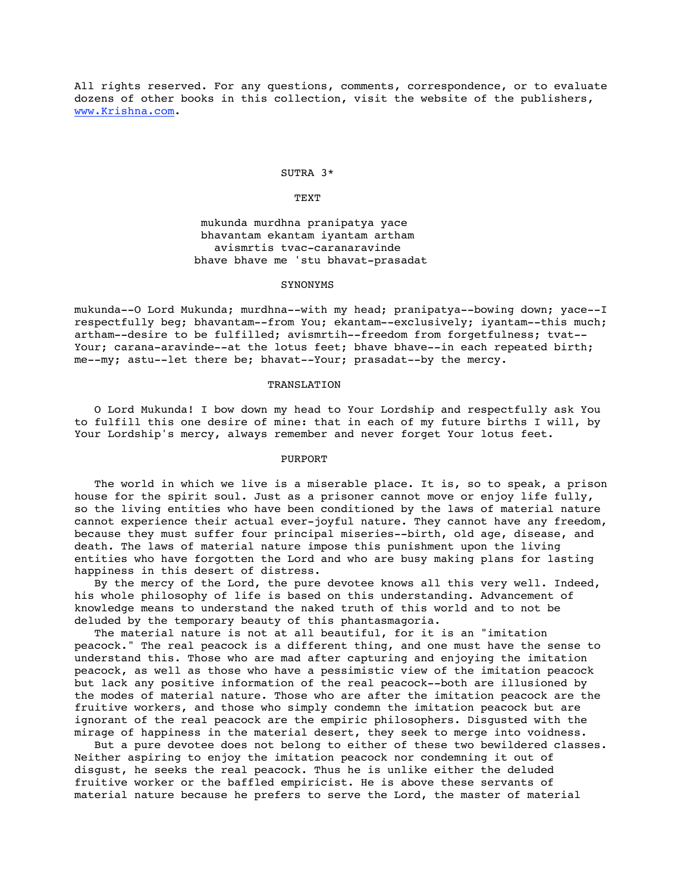All rights reserved. For any questions, comments, correspondence, or to evaluate dozens of other books in this collection, visit the website of the publishers, www.Krishna.com.

# SUTRA 3\*

# TEXT

 mukunda murdhna pranipatya yace bhavantam ekantam iyantam artham avismrtis tvac-caranaravinde bhave bhave me 'stu bhavat-prasadat

#### SYNONYMS

mukunda--O Lord Mukunda; murdhna--with my head; pranipatya--bowing down; yace--I respectfully beg; bhavantam--from You; ekantam--exclusively; iyantam--this much; artham--desire to be fulfilled; avismrtih--freedom from forgetfulness; tvat-- Your; carana-aravinde--at the lotus feet; bhave bhave--in each repeated birth; me--my; astu--let there be; bhavat--Your; prasadat--by the mercy.

# TRANSLATION

 O Lord Mukunda! I bow down my head to Your Lordship and respectfully ask You to fulfill this one desire of mine: that in each of my future births I will, by Your Lordship's mercy, always remember and never forget Your lotus feet.

### PURPORT

The world in which we live is a miserable place. It is, so to speak, a prison house for the spirit soul. Just as a prisoner cannot move or enjoy life fully, so the living entities who have been conditioned by the laws of material nature cannot experience their actual ever-joyful nature. They cannot have any freedom, because they must suffer four principal miseries--birth, old age, disease, and death. The laws of material nature impose this punishment upon the living entities who have forgotten the Lord and who are busy making plans for lasting happiness in this desert of distress.

 By the mercy of the Lord, the pure devotee knows all this very well. Indeed, his whole philosophy of life is based on this understanding. Advancement of knowledge means to understand the naked truth of this world and to not be deluded by the temporary beauty of this phantasmagoria.

 The material nature is not at all beautiful, for it is an "imitation peacock." The real peacock is a different thing, and one must have the sense to understand this. Those who are mad after capturing and enjoying the imitation peacock, as well as those who have a pessimistic view of the imitation peacock but lack any positive information of the real peacock--both are illusioned by the modes of material nature. Those who are after the imitation peacock are the fruitive workers, and those who simply condemn the imitation peacock but are ignorant of the real peacock are the empiric philosophers. Disgusted with the mirage of happiness in the material desert, they seek to merge into voidness.

 But a pure devotee does not belong to either of these two bewildered classes. Neither aspiring to enjoy the imitation peacock nor condemning it out of disgust, he seeks the real peacock. Thus he is unlike either the deluded fruitive worker or the baffled empiricist. He is above these servants of material nature because he prefers to serve the Lord, the master of material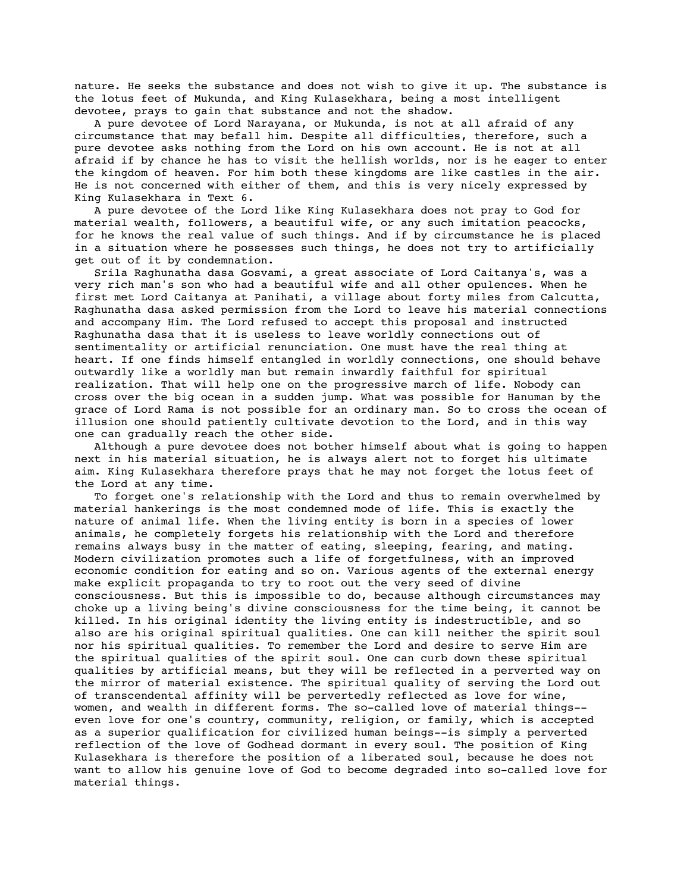nature. He seeks the substance and does not wish to give it up. The substance is the lotus feet of Mukunda, and King Kulasekhara, being a most intelligent devotee, prays to gain that substance and not the shadow.

 A pure devotee of Lord Narayana, or Mukunda, is not at all afraid of any circumstance that may befall him. Despite all difficulties, therefore, such a pure devotee asks nothing from the Lord on his own account. He is not at all afraid if by chance he has to visit the hellish worlds, nor is he eager to enter the kingdom of heaven. For him both these kingdoms are like castles in the air. He is not concerned with either of them, and this is very nicely expressed by King Kulasekhara in Text 6.

 A pure devotee of the Lord like King Kulasekhara does not pray to God for material wealth, followers, a beautiful wife, or any such imitation peacocks, for he knows the real value of such things. And if by circumstance he is placed in a situation where he possesses such things, he does not try to artificially get out of it by condemnation.

 Srila Raghunatha dasa Gosvami, a great associate of Lord Caitanya's, was a very rich man's son who had a beautiful wife and all other opulences. When he first met Lord Caitanya at Panihati, a village about forty miles from Calcutta, Raghunatha dasa asked permission from the Lord to leave his material connections and accompany Him. The Lord refused to accept this proposal and instructed Raghunatha dasa that it is useless to leave worldly connections out of sentimentality or artificial renunciation. One must have the real thing at heart. If one finds himself entangled in worldly connections, one should behave outwardly like a worldly man but remain inwardly faithful for spiritual realization. That will help one on the progressive march of life. Nobody can cross over the big ocean in a sudden jump. What was possible for Hanuman by the grace of Lord Rama is not possible for an ordinary man. So to cross the ocean of illusion one should patiently cultivate devotion to the Lord, and in this way one can gradually reach the other side.

 Although a pure devotee does not bother himself about what is going to happen next in his material situation, he is always alert not to forget his ultimate aim. King Kulasekhara therefore prays that he may not forget the lotus feet of the Lord at any time.

 To forget one's relationship with the Lord and thus to remain overwhelmed by material hankerings is the most condemned mode of life. This is exactly the nature of animal life. When the living entity is born in a species of lower animals, he completely forgets his relationship with the Lord and therefore remains always busy in the matter of eating, sleeping, fearing, and mating. Modern civilization promotes such a life of forgetfulness, with an improved economic condition for eating and so on. Various agents of the external energy make explicit propaganda to try to root out the very seed of divine consciousness. But this is impossible to do, because although circumstances may choke up a living being's divine consciousness for the time being, it cannot be killed. In his original identity the living entity is indestructible, and so also are his original spiritual qualities. One can kill neither the spirit soul nor his spiritual qualities. To remember the Lord and desire to serve Him are the spiritual qualities of the spirit soul. One can curb down these spiritual qualities by artificial means, but they will be reflected in a perverted way on the mirror of material existence. The spiritual quality of serving the Lord out of transcendental affinity will be pervertedly reflected as love for wine, women, and wealth in different forms. The so-called love of material things- even love for one's country, community, religion, or family, which is accepted as a superior qualification for civilized human beings--is simply a perverted reflection of the love of Godhead dormant in every soul. The position of King Kulasekhara is therefore the position of a liberated soul, because he does not want to allow his genuine love of God to become degraded into so-called love for material things.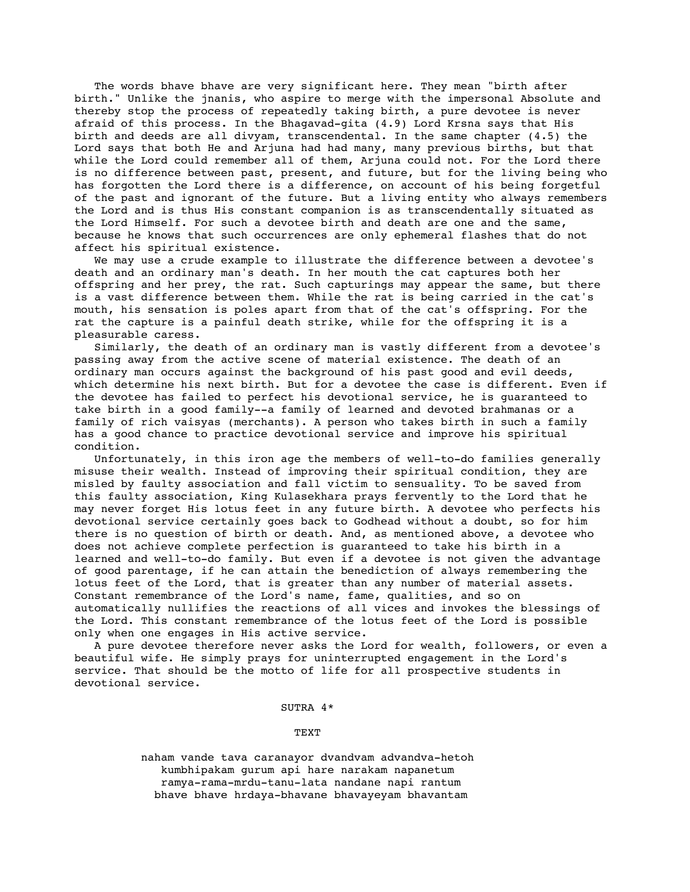The words bhave bhave are very significant here. They mean "birth after birth." Unlike the jnanis, who aspire to merge with the impersonal Absolute and thereby stop the process of repeatedly taking birth, a pure devotee is never afraid of this process. In the Bhagavad-gita (4.9) Lord Krsna says that His birth and deeds are all divyam, transcendental. In the same chapter (4.5) the Lord says that both He and Arjuna had had many, many previous births, but that while the Lord could remember all of them, Arjuna could not. For the Lord there is no difference between past, present, and future, but for the living being who has forgotten the Lord there is a difference, on account of his being forgetful of the past and ignorant of the future. But a living entity who always remembers the Lord and is thus His constant companion is as transcendentally situated as the Lord Himself. For such a devotee birth and death are one and the same, because he knows that such occurrences are only ephemeral flashes that do not affect his spiritual existence.

 We may use a crude example to illustrate the difference between a devotee's death and an ordinary man's death. In her mouth the cat captures both her offspring and her prey, the rat. Such capturings may appear the same, but there is a vast difference between them. While the rat is being carried in the cat's mouth, his sensation is poles apart from that of the cat's offspring. For the rat the capture is a painful death strike, while for the offspring it is a pleasurable caress.

 Similarly, the death of an ordinary man is vastly different from a devotee's passing away from the active scene of material existence. The death of an ordinary man occurs against the background of his past good and evil deeds, which determine his next birth. But for a devotee the case is different. Even if the devotee has failed to perfect his devotional service, he is guaranteed to take birth in a good family--a family of learned and devoted brahmanas or a family of rich vaisyas (merchants). A person who takes birth in such a family has a good chance to practice devotional service and improve his spiritual condition.

 Unfortunately, in this iron age the members of well-to-do families generally misuse their wealth. Instead of improving their spiritual condition, they are misled by faulty association and fall victim to sensuality. To be saved from this faulty association, King Kulasekhara prays fervently to the Lord that he may never forget His lotus feet in any future birth. A devotee who perfects his devotional service certainly goes back to Godhead without a doubt, so for him there is no question of birth or death. And, as mentioned above, a devotee who does not achieve complete perfection is guaranteed to take his birth in a learned and well-to-do family. But even if a devotee is not given the advantage of good parentage, if he can attain the benediction of always remembering the lotus feet of the Lord, that is greater than any number of material assets. Constant remembrance of the Lord's name, fame, qualities, and so on automatically nullifies the reactions of all vices and invokes the blessings of the Lord. This constant remembrance of the lotus feet of the Lord is possible only when one engages in His active service.

 A pure devotee therefore never asks the Lord for wealth, followers, or even a beautiful wife. He simply prays for uninterrupted engagement in the Lord's service. That should be the motto of life for all prospective students in devotional service.

### SUTRA 4\*

TEXT

 naham vande tava caranayor dvandvam advandva-hetoh kumbhipakam gurum api hare narakam napanetum ramya-rama-mrdu-tanu-lata nandane napi rantum bhave bhave hrdaya-bhavane bhavayeyam bhavantam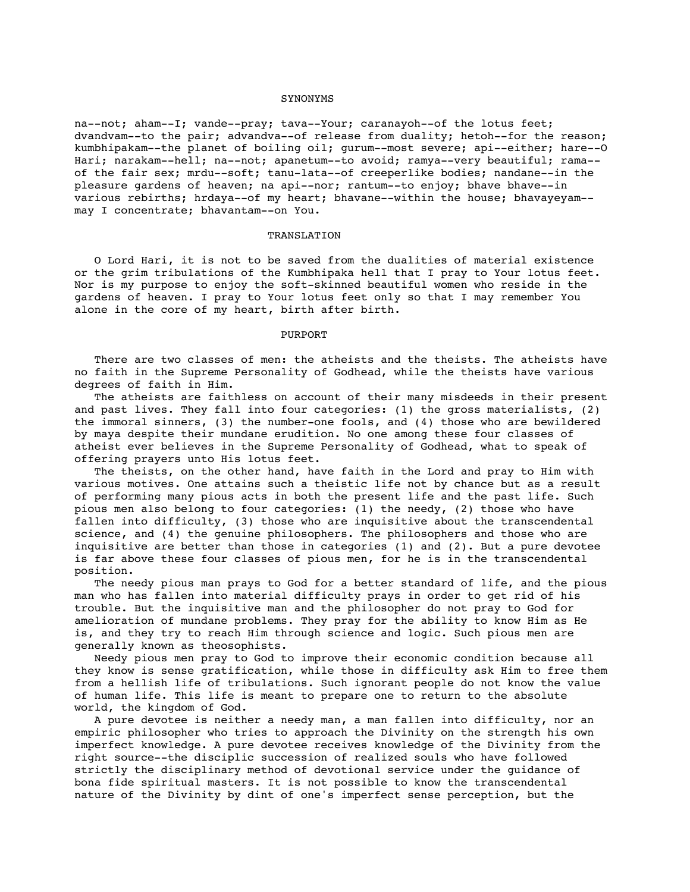#### SYNONYMS

na--not; aham--I; vande--pray; tava--Your; caranayoh--of the lotus feet; dvandvam--to the pair; advandva--of release from duality; hetoh--for the reason; kumbhipakam--the planet of boiling oil; gurum--most severe; api--either; hare--O Hari; narakam--hell; na--not; apanetum--to avoid; ramya--very beautiful; rama- of the fair sex; mrdu--soft; tanu-lata--of creeperlike bodies; nandane--in the pleasure gardens of heaven; na api--nor; rantum--to enjoy; bhave bhave--in various rebirths; hrdaya--of my heart; bhavane--within the house; bhavayeyam- may I concentrate; bhavantam--on You.

## TRANSLATION

 O Lord Hari, it is not to be saved from the dualities of material existence or the grim tribulations of the Kumbhipaka hell that I pray to Your lotus feet. Nor is my purpose to enjoy the soft-skinned beautiful women who reside in the gardens of heaven. I pray to Your lotus feet only so that I may remember You alone in the core of my heart, birth after birth.

# PURPORT

There are two classes of men: the atheists and the theists. The atheists have no faith in the Supreme Personality of Godhead, while the theists have various degrees of faith in Him.

 The atheists are faithless on account of their many misdeeds in their present and past lives. They fall into four categories: (1) the gross materialists, (2) the immoral sinners, (3) the number-one fools, and (4) those who are bewildered by maya despite their mundane erudition. No one among these four classes of atheist ever believes in the Supreme Personality of Godhead, what to speak of offering prayers unto His lotus feet.

 The theists, on the other hand, have faith in the Lord and pray to Him with various motives. One attains such a theistic life not by chance but as a result of performing many pious acts in both the present life and the past life. Such pious men also belong to four categories: (1) the needy, (2) those who have fallen into difficulty, (3) those who are inquisitive about the transcendental science, and (4) the genuine philosophers. The philosophers and those who are inquisitive are better than those in categories (1) and (2). But a pure devotee is far above these four classes of pious men, for he is in the transcendental position.

 The needy pious man prays to God for a better standard of life, and the pious man who has fallen into material difficulty prays in order to get rid of his trouble. But the inquisitive man and the philosopher do not pray to God for amelioration of mundane problems. They pray for the ability to know Him as He is, and they try to reach Him through science and logic. Such pious men are generally known as theosophists.

 Needy pious men pray to God to improve their economic condition because all they know is sense gratification, while those in difficulty ask Him to free them from a hellish life of tribulations. Such ignorant people do not know the value of human life. This life is meant to prepare one to return to the absolute world, the kingdom of God.

 A pure devotee is neither a needy man, a man fallen into difficulty, nor an empiric philosopher who tries to approach the Divinity on the strength his own imperfect knowledge. A pure devotee receives knowledge of the Divinity from the right source--the disciplic succession of realized souls who have followed strictly the disciplinary method of devotional service under the guidance of bona fide spiritual masters. It is not possible to know the transcendental nature of the Divinity by dint of one's imperfect sense perception, but the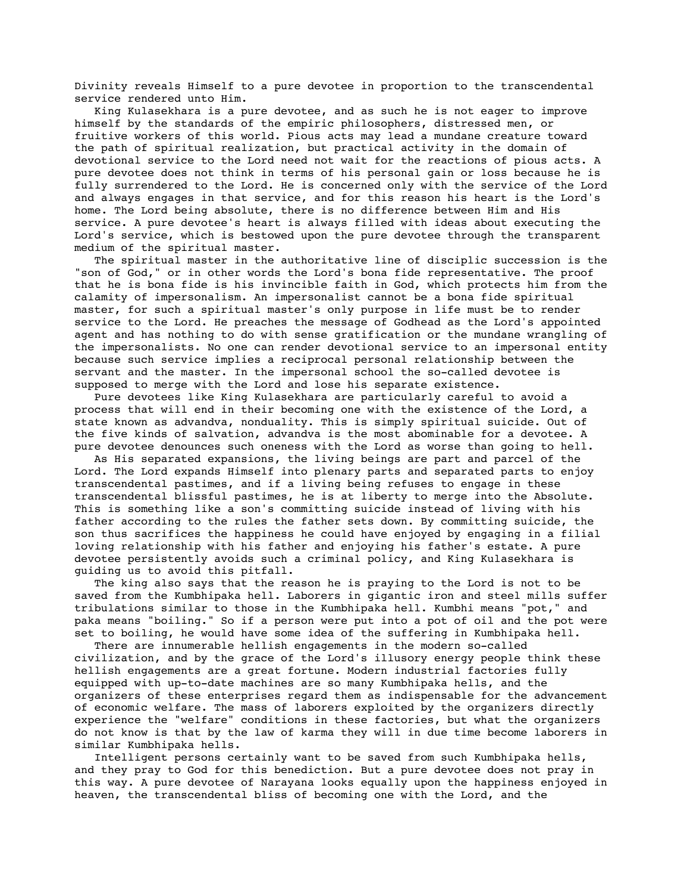Divinity reveals Himself to a pure devotee in proportion to the transcendental service rendered unto Him.

 King Kulasekhara is a pure devotee, and as such he is not eager to improve himself by the standards of the empiric philosophers, distressed men, or fruitive workers of this world. Pious acts may lead a mundane creature toward the path of spiritual realization, but practical activity in the domain of devotional service to the Lord need not wait for the reactions of pious acts. A pure devotee does not think in terms of his personal gain or loss because he is fully surrendered to the Lord. He is concerned only with the service of the Lord and always engages in that service, and for this reason his heart is the Lord's home. The Lord being absolute, there is no difference between Him and His service. A pure devotee's heart is always filled with ideas about executing the Lord's service, which is bestowed upon the pure devotee through the transparent medium of the spiritual master.

 The spiritual master in the authoritative line of disciplic succession is the "son of God," or in other words the Lord's bona fide representative. The proof that he is bona fide is his invincible faith in God, which protects him from the calamity of impersonalism. An impersonalist cannot be a bona fide spiritual master, for such a spiritual master's only purpose in life must be to render service to the Lord. He preaches the message of Godhead as the Lord's appointed agent and has nothing to do with sense gratification or the mundane wrangling of the impersonalists. No one can render devotional service to an impersonal entity because such service implies a reciprocal personal relationship between the servant and the master. In the impersonal school the so-called devotee is supposed to merge with the Lord and lose his separate existence.

 Pure devotees like King Kulasekhara are particularly careful to avoid a process that will end in their becoming one with the existence of the Lord, a state known as advandva, nonduality. This is simply spiritual suicide. Out of the five kinds of salvation, advandva is the most abominable for a devotee. A pure devotee denounces such oneness with the Lord as worse than going to hell.

 As His separated expansions, the living beings are part and parcel of the Lord. The Lord expands Himself into plenary parts and separated parts to enjoy transcendental pastimes, and if a living being refuses to engage in these transcendental blissful pastimes, he is at liberty to merge into the Absolute. This is something like a son's committing suicide instead of living with his father according to the rules the father sets down. By committing suicide, the son thus sacrifices the happiness he could have enjoyed by engaging in a filial loving relationship with his father and enjoying his father's estate. A pure devotee persistently avoids such a criminal policy, and King Kulasekhara is guiding us to avoid this pitfall.

 The king also says that the reason he is praying to the Lord is not to be saved from the Kumbhipaka hell. Laborers in gigantic iron and steel mills suffer tribulations similar to those in the Kumbhipaka hell. Kumbhi means "pot," and paka means "boiling." So if a person were put into a pot of oil and the pot were set to boiling, he would have some idea of the suffering in Kumbhipaka hell.

 There are innumerable hellish engagements in the modern so-called civilization, and by the grace of the Lord's illusory energy people think these hellish engagements are a great fortune. Modern industrial factories fully equipped with up-to-date machines are so many Kumbhipaka hells, and the organizers of these enterprises regard them as indispensable for the advancement of economic welfare. The mass of laborers exploited by the organizers directly experience the "welfare" conditions in these factories, but what the organizers do not know is that by the law of karma they will in due time become laborers in similar Kumbhipaka hells.

 Intelligent persons certainly want to be saved from such Kumbhipaka hells, and they pray to God for this benediction. But a pure devotee does not pray in this way. A pure devotee of Narayana looks equally upon the happiness enjoyed in heaven, the transcendental bliss of becoming one with the Lord, and the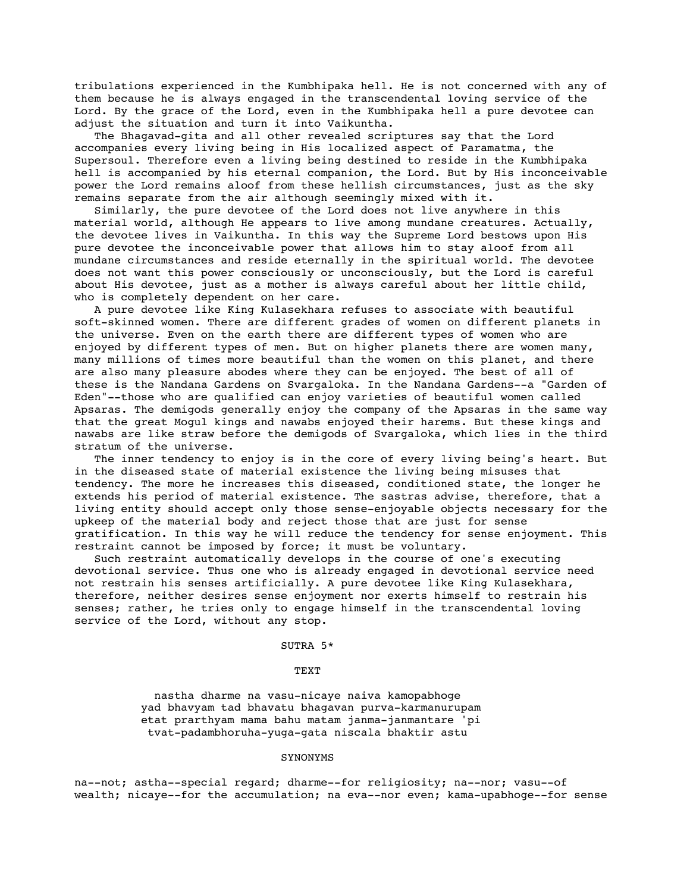tribulations experienced in the Kumbhipaka hell. He is not concerned with any of them because he is always engaged in the transcendental loving service of the Lord. By the grace of the Lord, even in the Kumbhipaka hell a pure devotee can adjust the situation and turn it into Vaikuntha.

 The Bhagavad-gita and all other revealed scriptures say that the Lord accompanies every living being in His localized aspect of Paramatma, the Supersoul. Therefore even a living being destined to reside in the Kumbhipaka hell is accompanied by his eternal companion, the Lord. But by His inconceivable power the Lord remains aloof from these hellish circumstances, just as the sky remains separate from the air although seemingly mixed with it.

 Similarly, the pure devotee of the Lord does not live anywhere in this material world, although He appears to live among mundane creatures. Actually, the devotee lives in Vaikuntha. In this way the Supreme Lord bestows upon His pure devotee the inconceivable power that allows him to stay aloof from all mundane circumstances and reside eternally in the spiritual world. The devotee does not want this power consciously or unconsciously, but the Lord is careful about His devotee, just as a mother is always careful about her little child, who is completely dependent on her care.

 A pure devotee like King Kulasekhara refuses to associate with beautiful soft-skinned women. There are different grades of women on different planets in the universe. Even on the earth there are different types of women who are enjoyed by different types of men. But on higher planets there are women many, many millions of times more beautiful than the women on this planet, and there are also many pleasure abodes where they can be enjoyed. The best of all of these is the Nandana Gardens on Svargaloka. In the Nandana Gardens--a "Garden of Eden"--those who are qualified can enjoy varieties of beautiful women called Apsaras. The demigods generally enjoy the company of the Apsaras in the same way that the great Mogul kings and nawabs enjoyed their harems. But these kings and nawabs are like straw before the demigods of Svargaloka, which lies in the third stratum of the universe.

 The inner tendency to enjoy is in the core of every living being's heart. But in the diseased state of material existence the living being misuses that tendency. The more he increases this diseased, conditioned state, the longer he extends his period of material existence. The sastras advise, therefore, that a living entity should accept only those sense-enjoyable objects necessary for the upkeep of the material body and reject those that are just for sense gratification. In this way he will reduce the tendency for sense enjoyment. This restraint cannot be imposed by force; it must be voluntary.

 Such restraint automatically develops in the course of one's executing devotional service. Thus one who is already engaged in devotional service need not restrain his senses artificially. A pure devotee like King Kulasekhara, therefore, neither desires sense enjoyment nor exerts himself to restrain his senses; rather, he tries only to engage himself in the transcendental loving service of the Lord, without any stop.

# SUTRA 5\*

# TEXT

 nastha dharme na vasu-nicaye naiva kamopabhoge yad bhavyam tad bhavatu bhagavan purva-karmanurupam etat prarthyam mama bahu matam janma-janmantare 'pi tvat-padambhoruha-yuga-gata niscala bhaktir astu

#### SYNONYMS

na--not; astha--special regard; dharme--for religiosity; na--nor; vasu--of wealth; nicaye--for the accumulation; na eva--nor even; kama-upabhoge--for sense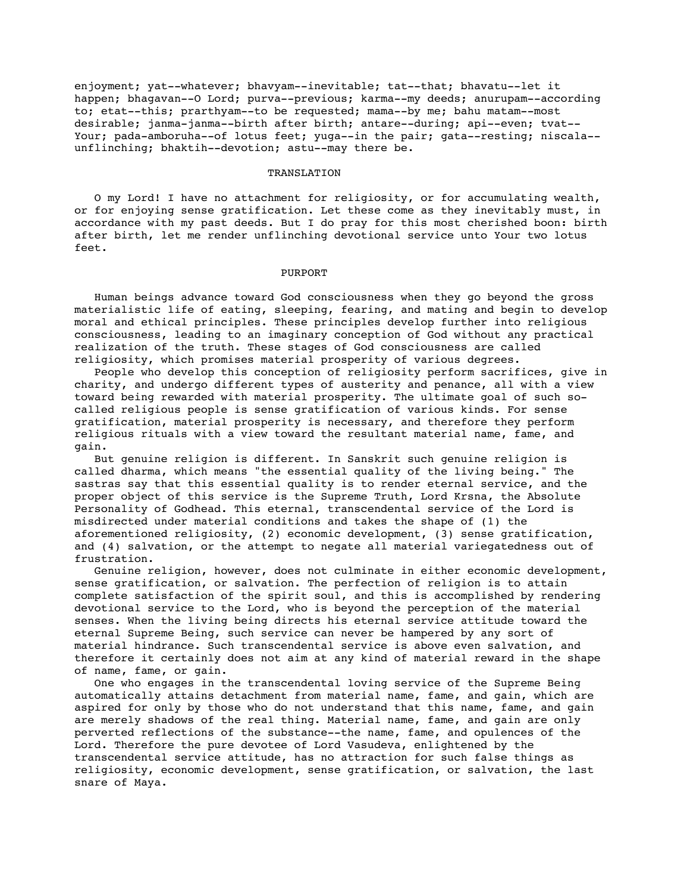enjoyment; yat--whatever; bhavyam--inevitable; tat--that; bhavatu--let it happen; bhagavan--O Lord; purva--previous; karma--my deeds; anurupam--according to; etat--this; prarthyam--to be requested; mama--by me; bahu matam--most desirable; janma-janma--birth after birth; antare--during; api--even; tvat-- Your; pada-amboruha--of lotus feet; yuga--in the pair; gata--resting; niscala-unflinching; bhaktih--devotion; astu--may there be.

## TRANSLATION

 O my Lord! I have no attachment for religiosity, or for accumulating wealth, or for enjoying sense gratification. Let these come as they inevitably must, in accordance with my past deeds. But I do pray for this most cherished boon: birth after birth, let me render unflinching devotional service unto Your two lotus feet.

### PURPORT

 Human beings advance toward God consciousness when they go beyond the gross materialistic life of eating, sleeping, fearing, and mating and begin to develop moral and ethical principles. These principles develop further into religious consciousness, leading to an imaginary conception of God without any practical realization of the truth. These stages of God consciousness are called religiosity, which promises material prosperity of various degrees.

 People who develop this conception of religiosity perform sacrifices, give in charity, and undergo different types of austerity and penance, all with a view toward being rewarded with material prosperity. The ultimate goal of such socalled religious people is sense gratification of various kinds. For sense gratification, material prosperity is necessary, and therefore they perform religious rituals with a view toward the resultant material name, fame, and gain.

 But genuine religion is different. In Sanskrit such genuine religion is called dharma, which means "the essential quality of the living being." The sastras say that this essential quality is to render eternal service, and the proper object of this service is the Supreme Truth, Lord Krsna, the Absolute Personality of Godhead. This eternal, transcendental service of the Lord is misdirected under material conditions and takes the shape of (1) the aforementioned religiosity, (2) economic development, (3) sense gratification, and (4) salvation, or the attempt to negate all material variegatedness out of frustration.

 Genuine religion, however, does not culminate in either economic development, sense gratification, or salvation. The perfection of religion is to attain complete satisfaction of the spirit soul, and this is accomplished by rendering devotional service to the Lord, who is beyond the perception of the material senses. When the living being directs his eternal service attitude toward the eternal Supreme Being, such service can never be hampered by any sort of material hindrance. Such transcendental service is above even salvation, and therefore it certainly does not aim at any kind of material reward in the shape of name, fame, or gain.

 One who engages in the transcendental loving service of the Supreme Being automatically attains detachment from material name, fame, and gain, which are aspired for only by those who do not understand that this name, fame, and gain are merely shadows of the real thing. Material name, fame, and gain are only perverted reflections of the substance--the name, fame, and opulences of the Lord. Therefore the pure devotee of Lord Vasudeva, enlightened by the transcendental service attitude, has no attraction for such false things as religiosity, economic development, sense gratification, or salvation, the last snare of Maya.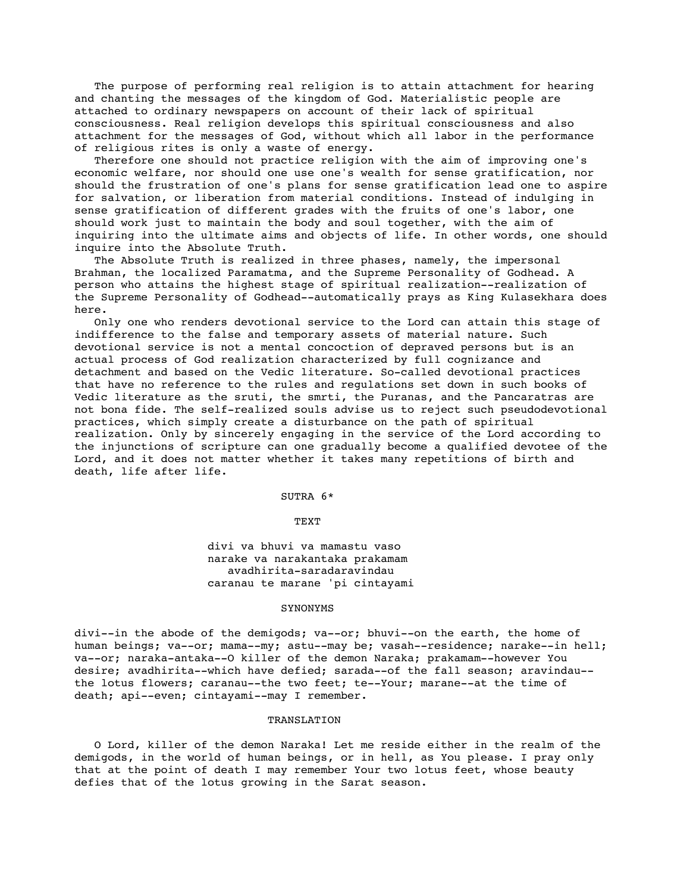The purpose of performing real religion is to attain attachment for hearing and chanting the messages of the kingdom of God. Materialistic people are attached to ordinary newspapers on account of their lack of spiritual consciousness. Real religion develops this spiritual consciousness and also attachment for the messages of God, without which all labor in the performance of religious rites is only a waste of energy.

 Therefore one should not practice religion with the aim of improving one's economic welfare, nor should one use one's wealth for sense gratification, nor should the frustration of one's plans for sense gratification lead one to aspire for salvation, or liberation from material conditions. Instead of indulging in sense gratification of different grades with the fruits of one's labor, one should work just to maintain the body and soul together, with the aim of inquiring into the ultimate aims and objects of life. In other words, one should inquire into the Absolute Truth.

 The Absolute Truth is realized in three phases, namely, the impersonal Brahman, the localized Paramatma, and the Supreme Personality of Godhead. A person who attains the highest stage of spiritual realization--realization of the Supreme Personality of Godhead--automatically prays as King Kulasekhara does here.

 Only one who renders devotional service to the Lord can attain this stage of indifference to the false and temporary assets of material nature. Such devotional service is not a mental concoction of depraved persons but is an actual process of God realization characterized by full cognizance and detachment and based on the Vedic literature. So-called devotional practices that have no reference to the rules and regulations set down in such books of Vedic literature as the sruti, the smrti, the Puranas, and the Pancaratras are not bona fide. The self-realized souls advise us to reject such pseudodevotional practices, which simply create a disturbance on the path of spiritual realization. Only by sincerely engaging in the service of the Lord according to the injunctions of scripture can one gradually become a qualified devotee of the Lord, and it does not matter whether it takes many repetitions of birth and death, life after life.

SUTRA 6\*

TEXT

 divi va bhuvi va mamastu vaso narake va narakantaka prakamam avadhirita-saradaravindau caranau te marane 'pi cintayami

#### SYNONYMS

divi--in the abode of the demigods; va--or; bhuvi--on the earth, the home of human beings; va--or; mama--my; astu--may be; vasah--residence; narake--in hell; va--or; naraka-antaka--O killer of the demon Naraka; prakamam--however You desire; avadhirita--which have defied; sarada--of the fall season; aravindau- the lotus flowers; caranau--the two feet; te--Your; marane--at the time of death; api--even; cintayami--may I remember.

# TRANSLATION

 O Lord, killer of the demon Naraka! Let me reside either in the realm of the demigods, in the world of human beings, or in hell, as You please. I pray only that at the point of death I may remember Your two lotus feet, whose beauty defies that of the lotus growing in the Sarat season.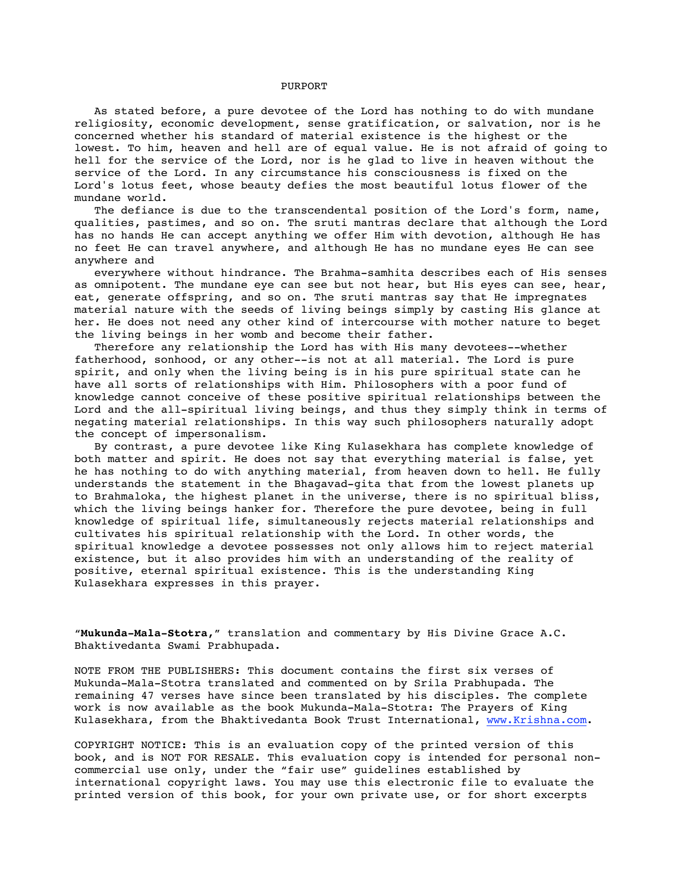#### PURPORT

 As stated before, a pure devotee of the Lord has nothing to do with mundane religiosity, economic development, sense gratification, or salvation, nor is he concerned whether his standard of material existence is the highest or the lowest. To him, heaven and hell are of equal value. He is not afraid of going to hell for the service of the Lord, nor is he glad to live in heaven without the service of the Lord. In any circumstance his consciousness is fixed on the Lord's lotus feet, whose beauty defies the most beautiful lotus flower of the mundane world.

The defiance is due to the transcendental position of the Lord's form, name, qualities, pastimes, and so on. The sruti mantras declare that although the Lord has no hands He can accept anything we offer Him with devotion, although He has no feet He can travel anywhere, and although He has no mundane eyes He can see anywhere and

 everywhere without hindrance. The Brahma-samhita describes each of His senses as omnipotent. The mundane eye can see but not hear, but His eyes can see, hear, eat, generate offspring, and so on. The sruti mantras say that He impregnates material nature with the seeds of living beings simply by casting His glance at her. He does not need any other kind of intercourse with mother nature to beget the living beings in her womb and become their father.

 Therefore any relationship the Lord has with His many devotees--whether fatherhood, sonhood, or any other--is not at all material. The Lord is pure spirit, and only when the living being is in his pure spiritual state can he have all sorts of relationships with Him. Philosophers with a poor fund of knowledge cannot conceive of these positive spiritual relationships between the Lord and the all-spiritual living beings, and thus they simply think in terms of negating material relationships. In this way such philosophers naturally adopt the concept of impersonalism.

 By contrast, a pure devotee like King Kulasekhara has complete knowledge of both matter and spirit. He does not say that everything material is false, yet he has nothing to do with anything material, from heaven down to hell. He fully understands the statement in the Bhagavad-gita that from the lowest planets up to Brahmaloka, the highest planet in the universe, there is no spiritual bliss, which the living beings hanker for. Therefore the pure devotee, being in full knowledge of spiritual life, simultaneously rejects material relationships and cultivates his spiritual relationship with the Lord. In other words, the spiritual knowledge a devotee possesses not only allows him to reject material existence, but it also provides him with an understanding of the reality of positive, eternal spiritual existence. This is the understanding King Kulasekhara expresses in this prayer.

"**Mukunda-Mala-Stotra,**" translation and commentary by His Divine Grace A.C. Bhaktivedanta Swami Prabhupada.

NOTE FROM THE PUBLISHERS: This document contains the first six verses of Mukunda-Mala-Stotra translated and commented on by Srila Prabhupada. The remaining 47 verses have since been translated by his disciples. The complete work is now available as the book Mukunda-Mala-Stotra: The Prayers of King Kulasekhara, from the Bhaktivedanta Book Trust International, www.Krishna.com.

COPYRIGHT NOTICE: This is an evaluation copy of the printed version of this book, and is NOT FOR RESALE. This evaluation copy is intended for personal noncommercial use only, under the "fair use" guidelines established by international copyright laws. You may use this electronic file to evaluate the printed version of this book, for your own private use, or for short excerpts